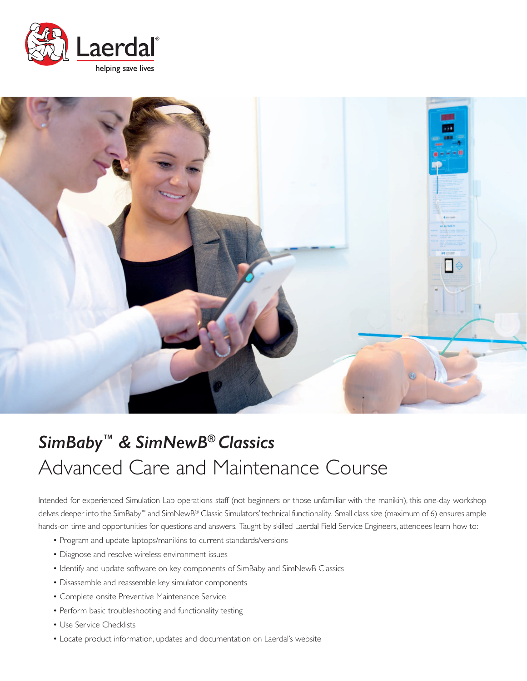



# *SimBaby™ & SimNewB® Classics* Advanced Care and Maintenance Course

Intended for experienced Simulation Lab operations staff (not beginners or those unfamiliar with the manikin), this one-day workshop delves deeper into the SimBaby™ and SimNewB® Classic Simulators' technical functionality. Small class size (maximum of 6) ensures ample hands-on time and opportunities for questions and answers. Taught by skilled Laerdal Field Service Engineers, attendees learn how to:

- Program and update laptops/manikins to current standards/versions
- Diagnose and resolve wireless environment issues
- Identify and update software on key components of SimBaby and SimNewB Classics
- Disassemble and reassemble key simulator components
- Complete onsite Preventive Maintenance Service
- Perform basic troubleshooting and functionality testing
- Use Service Checklists
- Locate product information, updates and documentation on Laerdal's website